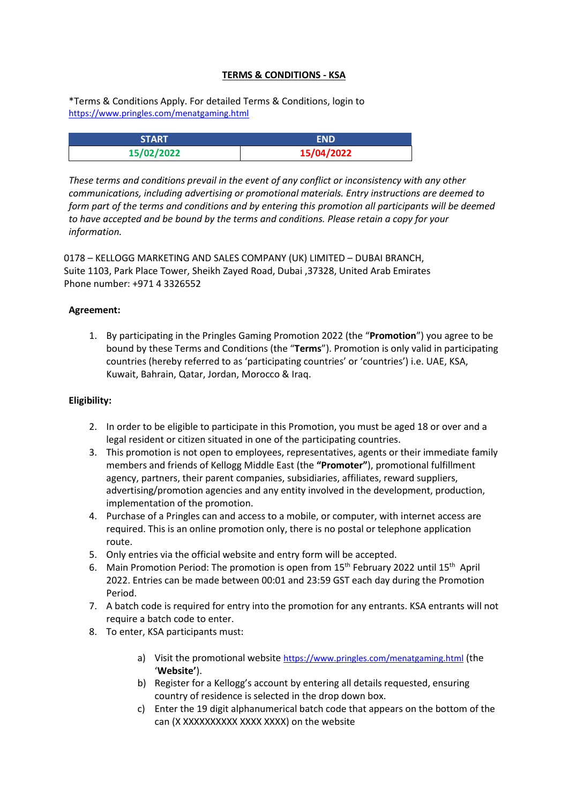# **TERMS & CONDITIONS - KSA**

\*Terms & Conditions Apply. For detailed Terms & Conditions, login to [https://www.pringles.com/menatgaming.html](https://apc01.safelinks.protection.outlook.com/?url=https%3A%2F%2Fwww.pringles.com%2Fmenatgaming.html&data=04%7C01%7CUtkarsh.Mishra2%40mindtree.com%7Cf7cbce524b7e4e9ea84508d92cd59bc5%7C85c997b9f49446b3a11d772983cf6f11%7C0%7C0%7C637590118228989177%7CUnknown%7CTWFpbGZsb3d8eyJWIjoiMC4wLjAwMDAiLCJQIjoiV2luMzIiLCJBTiI6Ik1haWwiLCJXVCI6Mn0%3D%7C1000&sdata=t7XhN4L7kGhg2IupePX2Brkj6GmqFqeblZfKZD4o39w%3D&reserved=0)

| <b>START</b> | FND        |
|--------------|------------|
| 15/02/2022   | 15/04/2022 |

*These terms and conditions prevail in the event of any conflict or inconsistency with any other communications, including advertising or promotional materials. Entry instructions are deemed to form part of the terms and conditions and by entering this promotion all participants will be deemed to have accepted and be bound by the terms and conditions. Please retain a copy for your information.* 

0178 – KELLOGG MARKETING AND SALES COMPANY (UK) LIMITED – DUBAI BRANCH, Suite 1103, Park Place Tower, Sheikh Zayed Road, Dubai ,37328, United Arab Emirates Phone number: +971 4 3326552

# **Agreement:**

1. By participating in the Pringles Gaming Promotion 2022 (the "**Promotion**") you agree to be bound by these Terms and Conditions (the "**Terms**"). Promotion is only valid in participating countries (hereby referred to as 'participating countries' or 'countries') i.e. UAE, KSA, Kuwait, Bahrain, Qatar, Jordan, Morocco & Iraq.

# **Eligibility:**

- 2. In order to be eligible to participate in this Promotion, you must be aged 18 or over and a legal resident or citizen situated in one of the participating countries.
- 3. This promotion is not open to employees, representatives, agents or their immediate family members and friends of Kellogg Middle East (the **"Promoter"**), promotional fulfillment agency, partners, their parent companies, subsidiaries, affiliates, reward suppliers, advertising/promotion agencies and any entity involved in the development, production, implementation of the promotion.
- 4. Purchase of a Pringles can and access to a mobile, or computer, with internet access are required. This is an online promotion only, there is no postal or telephone application route.
- 5. Only entries via the official website and entry form will be accepted.
- 6. Main Promotion Period: The promotion is open from 15<sup>th</sup> February 2022 until 15<sup>th</sup> April 2022. Entries can be made between 00:01 and 23:59 GST each day during the Promotion Period.
- 7. A batch code is required for entry into the promotion for any entrants. KSA entrants will not require a batch code to enter.
- 8. To enter, KSA participants must:
	- a) Visit the promotional website [https://www.pringles.com/menatgaming.html](https://apc01.safelinks.protection.outlook.com/?url=https%3A%2F%2Fwww.pringles.com%2Fmenatgaming.html&data=04%7C01%7CUtkarsh.Mishra2%40mindtree.com%7Cf7cbce524b7e4e9ea84508d92cd59bc5%7C85c997b9f49446b3a11d772983cf6f11%7C0%7C0%7C637590118228989177%7CUnknown%7CTWFpbGZsb3d8eyJWIjoiMC4wLjAwMDAiLCJQIjoiV2luMzIiLCJBTiI6Ik1haWwiLCJXVCI6Mn0%3D%7C1000&sdata=t7XhN4L7kGhg2IupePX2Brkj6GmqFqeblZfKZD4o39w%3D&reserved=0) (the '**Website'**).
	- b) Register for a Kellogg's account by entering all details requested, ensuring country of residence is selected in the drop down box.
	- c) Enter the 19 digit alphanumerical batch code that appears on the bottom of the can (X XXXXXXXXXX XXXX XXXX) on the website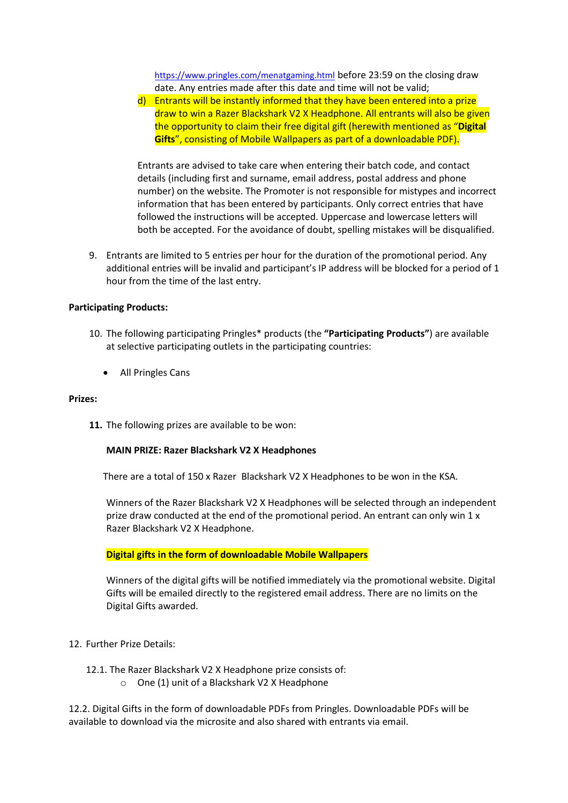[https://www.pringles.com/menatgaming.html](https://apc01.safelinks.protection.outlook.com/?url=https%3A%2F%2Fwww.pringles.com%2Fmenatgaming.html&data=04%7C01%7CUtkarsh.Mishra2%40mindtree.com%7Cf7cbce524b7e4e9ea84508d92cd59bc5%7C85c997b9f49446b3a11d772983cf6f11%7C0%7C0%7C637590118228989177%7CUnknown%7CTWFpbGZsb3d8eyJWIjoiMC4wLjAwMDAiLCJQIjoiV2luMzIiLCJBTiI6Ik1haWwiLCJXVCI6Mn0%3D%7C1000&sdata=t7XhN4L7kGhg2IupePX2Brkj6GmqFqeblZfKZD4o39w%3D&reserved=0) before 23:59 on the closing draw date. Any entries made after this date and time will not be valid;

d) Entrants will be instantly informed that they have been entered into a prize draw to win a Razer Blackshark V2 X Headphone. All entrants will also be given the opportunity to claim their free digital gift (herewith mentioned as "**Digital Gifts**", consisting of Mobile Wallpapers as part of a downloadable PDF).

Entrants are advised to take care when entering their batch code, and contact details (including first and surname, email address, postal address and phone number) on the website. The Promoter is not responsible for mistypes and incorrect information that has been entered by participants. Only correct entries that have followed the instructions will be accepted. Uppercase and lowercase letters will both be accepted. For the avoidance of doubt, spelling mistakes will be disqualified.

9. Entrants are limited to 5 entries per hour for the duration of the promotional period. Any additional entries will be invalid and participant's IP address will be blocked for a period of 1 hour from the time of the last entry.

#### **Participating Products:**

- 10. The following participating Pringles\* products (the **"Participating Products"**) are available at selective participating outlets in the participating countries:
	- All Pringles Cans

#### **Prizes:**

**11.** The following prizes are available to be won:

#### **MAIN PRIZE: Razer Blackshark V2 X Headphones**

There are a total of 150 x Razer Blackshark V2 X Headphones to be won in the KSA.

Winners of the Razer Blackshark V2 X Headphones will be selected through an independent prize draw conducted at the end of the promotional period. An entrant can only win 1 x Razer Blackshark V2 X Headphone.

### **Digital gifts in the form of downloadable Mobile Wallpapers**

Winners of the digital gifts will be notified immediately via the promotional website. Digital Gifts will be emailed directly to the registered email address. There are no limits on the Digital Gifts awarded.

#### 12. Further Prize Details:

12.1. The Razer Blackshark V2 X Headphone prize consists of: o One (1) unit of a Blackshark V2 X Headphone

12.2. Digital Gifts in the form of downloadable PDFs from Pringles. Downloadable PDFs will be available to download via the microsite and also shared with entrants via email.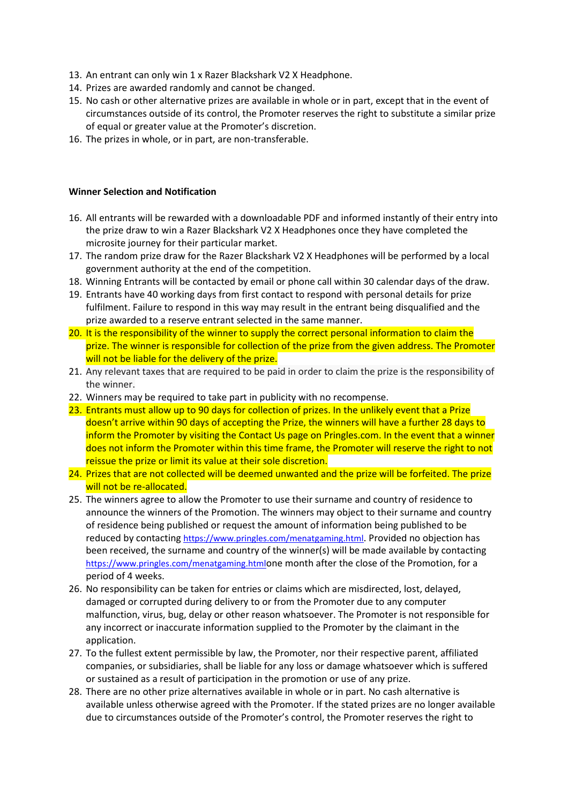- 13. An entrant can only win 1 x Razer Blackshark V2 X Headphone.
- 14. Prizes are awarded randomly and cannot be changed.
- 15. No cash or other alternative prizes are available in whole or in part, except that in the event of circumstances outside of its control, the Promoter reserves the right to substitute a similar prize of equal or greater value at the Promoter's discretion.
- 16. The prizes in whole, or in part, are non-transferable.

### **Winner Selection and Notification**

- 16. All entrants will be rewarded with a downloadable PDF and informed instantly of their entry into the prize draw to win a Razer Blackshark V2 X Headphones once they have completed the microsite journey for their particular market.
- 17. The random prize draw for the Razer Blackshark V2 X Headphones will be performed by a local government authority at the end of the competition.
- 18. Winning Entrants will be contacted by email or phone call within 30 calendar days of the draw.
- 19. Entrants have 40 working days from first contact to respond with personal details for prize fulfilment. Failure to respond in this way may result in the entrant being disqualified and the prize awarded to a reserve entrant selected in the same manner.
- 20. It is the responsibility of the winner to supply the correct personal information to claim the prize. The winner is responsible for collection of the prize from the given address. The Promoter will not be liable for the delivery of the prize.
- 21. Any relevant taxes that are required to be paid in order to claim the prize is the responsibility of the winner.
- 22. Winners may be required to take part in publicity with no recompense.
- 23. Entrants must allow up to 90 days for collection of prizes. In the unlikely event that a Prize doesn't arrive within 90 days of accepting the Prize, the winners will have a further 28 days to inform the Promoter by visiting the Contact Us page on Pringles.com. In the event that a winner does not inform the Promoter within this time frame, the Promoter will reserve the right to not reissue the prize or limit its value at their sole discretion.
- 24. Prizes that are not collected will be deemed unwanted and the prize will be forfeited. The prize will not be re-allocated.
- 25. The winners agree to allow the Promoter to use their surname and country of residence to announce the winners of the Promotion. The winners may object to their surname and country of residence being published or request the amount of information being published to be reduced by contacting [https://www.pringles.com/menatgaming.html](https://apc01.safelinks.protection.outlook.com/?url=https%3A%2F%2Fwww.pringles.com%2Fmenatgaming.html&data=04%7C01%7CUtkarsh.Mishra2%40mindtree.com%7Cf7cbce524b7e4e9ea84508d92cd59bc5%7C85c997b9f49446b3a11d772983cf6f11%7C0%7C0%7C637590118228989177%7CUnknown%7CTWFpbGZsb3d8eyJWIjoiMC4wLjAwMDAiLCJQIjoiV2luMzIiLCJBTiI6Ik1haWwiLCJXVCI6Mn0%3D%7C1000&sdata=t7XhN4L7kGhg2IupePX2Brkj6GmqFqeblZfKZD4o39w%3D&reserved=0). Provided no objection has been received, the surname and country of the winner(s) will be made available by contacting [https://www.pringles.com/menatgaming.html](https://apc01.safelinks.protection.outlook.com/?url=https%3A%2F%2Fwww.pringles.com%2Fmenatgaming.html&data=04%7C01%7CUtkarsh.Mishra2%40mindtree.com%7Cf7cbce524b7e4e9ea84508d92cd59bc5%7C85c997b9f49446b3a11d772983cf6f11%7C0%7C0%7C637590118228989177%7CUnknown%7CTWFpbGZsb3d8eyJWIjoiMC4wLjAwMDAiLCJQIjoiV2luMzIiLCJBTiI6Ik1haWwiLCJXVCI6Mn0%3D%7C1000&sdata=t7XhN4L7kGhg2IupePX2Brkj6GmqFqeblZfKZD4o39w%3D&reserved=0)one month after the close of the Promotion, for a period of 4 weeks.
- 26. No responsibility can be taken for entries or claims which are misdirected, lost, delayed, damaged or corrupted during delivery to or from the Promoter due to any computer malfunction, virus, bug, delay or other reason whatsoever. The Promoter is not responsible for any incorrect or inaccurate information supplied to the Promoter by the claimant in the application.
- 27. To the fullest extent permissible by law, the Promoter, nor their respective parent, affiliated companies, or subsidiaries, shall be liable for any loss or damage whatsoever which is suffered or sustained as a result of participation in the promotion or use of any prize.
- 28. There are no other prize alternatives available in whole or in part. No cash alternative is available unless otherwise agreed with the Promoter. If the stated prizes are no longer available due to circumstances outside of the Promoter's control, the Promoter reserves the right to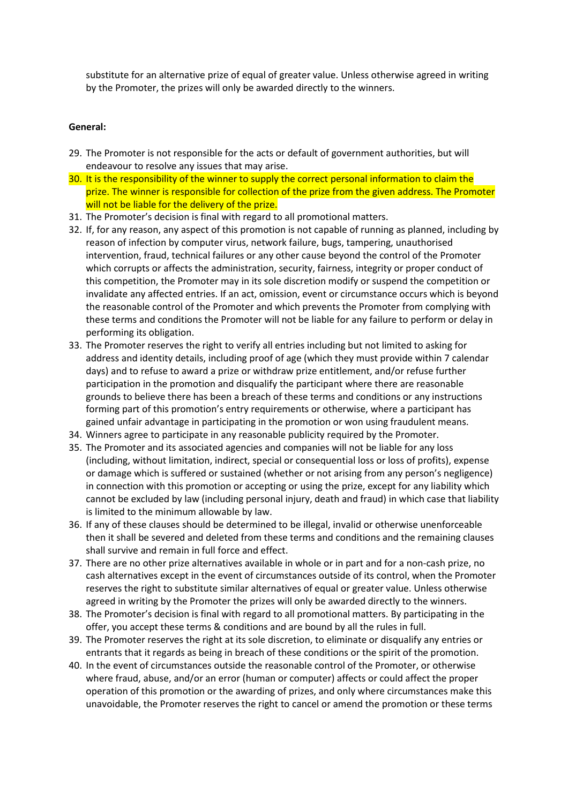substitute for an alternative prize of equal of greater value. Unless otherwise agreed in writing by the Promoter, the prizes will only be awarded directly to the winners.

### **General:**

- 29. The Promoter is not responsible for the acts or default of government authorities, but will endeavour to resolve any issues that may arise.
- 30. It is the responsibility of the winner to supply the correct personal information to claim the prize. The winner is responsible for collection of the prize from the given address. The Promoter will not be liable for the delivery of the prize.
- 31. The Promoter's decision is final with regard to all promotional matters.
- 32. If, for any reason, any aspect of this promotion is not capable of running as planned, including by reason of infection by computer virus, network failure, bugs, tampering, unauthorised intervention, fraud, technical failures or any other cause beyond the control of the Promoter which corrupts or affects the administration, security, fairness, integrity or proper conduct of this competition, the Promoter may in its sole discretion modify or suspend the competition or invalidate any affected entries. If an act, omission, event or circumstance occurs which is beyond the reasonable control of the Promoter and which prevents the Promoter from complying with these terms and conditions the Promoter will not be liable for any failure to perform or delay in performing its obligation.
- 33. The Promoter reserves the right to verify all entries including but not limited to asking for address and identity details, including proof of age (which they must provide within 7 calendar days) and to refuse to award a prize or withdraw prize entitlement, and/or refuse further participation in the promotion and disqualify the participant where there are reasonable grounds to believe there has been a breach of these terms and conditions or any instructions forming part of this promotion's entry requirements or otherwise, where a participant has gained unfair advantage in participating in the promotion or won using fraudulent means.
- 34. Winners agree to participate in any reasonable publicity required by the Promoter.
- 35. The Promoter and its associated agencies and companies will not be liable for any loss (including, without limitation, indirect, special or consequential loss or loss of profits), expense or damage which is suffered or sustained (whether or not arising from any person's negligence) in connection with this promotion or accepting or using the prize, except for any liability which cannot be excluded by law (including personal injury, death and fraud) in which case that liability is limited to the minimum allowable by law.
- 36. If any of these clauses should be determined to be illegal, invalid or otherwise unenforceable then it shall be severed and deleted from these terms and conditions and the remaining clauses shall survive and remain in full force and effect.
- 37. There are no other prize alternatives available in whole or in part and for a non-cash prize, no cash alternatives except in the event of circumstances outside of its control, when the Promoter reserves the right to substitute similar alternatives of equal or greater value. Unless otherwise agreed in writing by the Promoter the prizes will only be awarded directly to the winners.
- 38. The Promoter's decision is final with regard to all promotional matters. By participating in the offer, you accept these terms & conditions and are bound by all the rules in full.
- 39. The Promoter reserves the right at its sole discretion, to eliminate or disqualify any entries or entrants that it regards as being in breach of these conditions or the spirit of the promotion.
- 40. In the event of circumstances outside the reasonable control of the Promoter, or otherwise where fraud, abuse, and/or an error (human or computer) affects or could affect the proper operation of this promotion or the awarding of prizes, and only where circumstances make this unavoidable, the Promoter reserves the right to cancel or amend the promotion or these terms